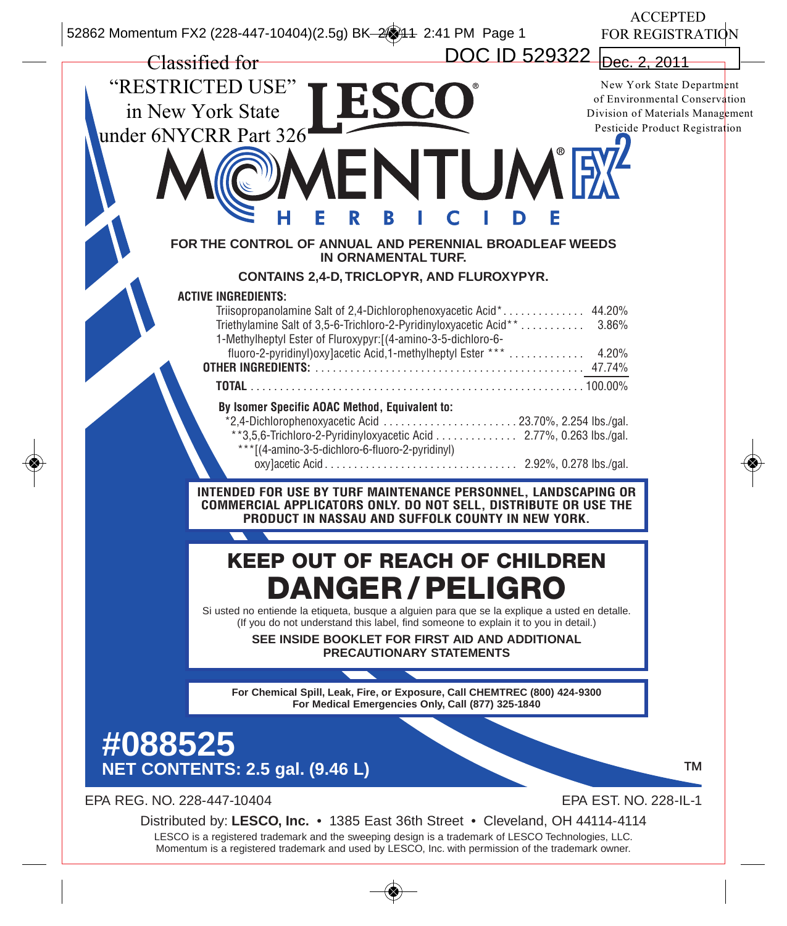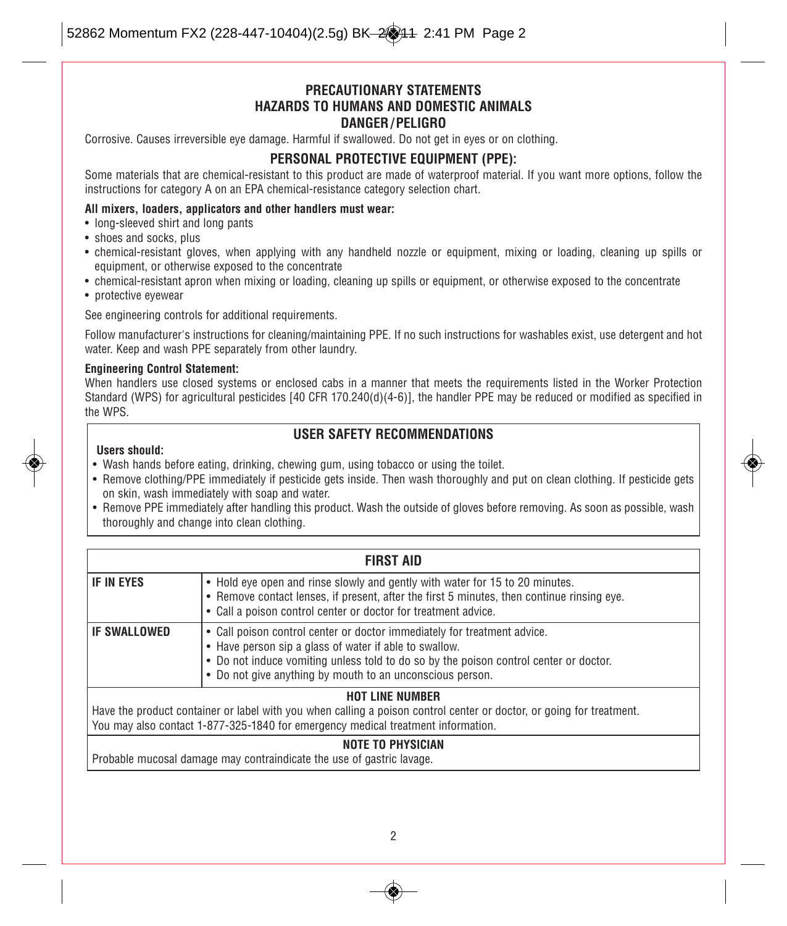#### **PRECAUTIONARY STATEMENTS HAZARDS TO HUMANS AND DOMESTIC ANIMALS DANGER / PELIGRO**

Corrosive. Causes irreversible eye damage. Harmful if swallowed. Do not get in eyes or on clothing.

#### **PERSONAL PROTECTIVE EQUIPMENT (PPE):**

Some materials that are chemical-resistant to this product are made of waterproof material. If you want more options, follow the instructions for category A on an EPA chemical-resistance category selection chart.

#### **All mixers, loaders, applicators and other handlers must wear:**

- long-sleeved shirt and long pants
- shoes and socks, plus
- chemical-resistant gloves, when applying with any handheld nozzle or equipment, mixing or loading, cleaning up spills or equipment, or otherwise exposed to the concentrate
- chemical-resistant apron when mixing or loading, cleaning up spills or equipment, or otherwise exposed to the concentrate
- protective eyewear

See engineering controls for additional requirements.

Follow manufacturer's instructions for cleaning/maintaining PPE. If no such instructions for washables exist, use detergent and hot water. Keep and wash PPE separately from other laundry.

#### **Engineering Control Statement:**

When handlers use closed systems or enclosed cabs in a manner that meets the requirements listed in the Worker Protection Standard (WPS) for agricultural pesticides [40 CFR 170.240(d)(4-6)], the handler PPE may be reduced or modified as specified in the WPS.

#### **USER SAFETY RECOMMENDATIONS**

#### **Users should:**

- Wash hands before eating, drinking, chewing gum, using tobacco or using the toilet.
- Remove clothing/PPE immediately if pesticide gets inside. Then wash thoroughly and put on clean clothing. If pesticide gets on skin, wash immediately with soap and water.
- Remove PPE immediately after handling this product. Wash the outside of gloves before removing. As soon as possible, wash thoroughly and change into clean clothing.

| <b>FIRST AID</b>    |                                                                                                                                                                                                                                                                                          |
|---------------------|------------------------------------------------------------------------------------------------------------------------------------------------------------------------------------------------------------------------------------------------------------------------------------------|
| I IF IN EYES        | • Hold eye open and rinse slowly and gently with water for 15 to 20 minutes.<br>• Remove contact lenses, if present, after the first 5 minutes, then continue rinsing eye.<br>• Call a poison control center or doctor for treatment advice.                                             |
| <b>IF SWALLOWED</b> | • Call poison control center or doctor immediately for treatment advice.<br>• Have person sip a glass of water if able to swallow.<br>• Do not induce vomiting unless told to do so by the poison control center or doctor.<br>• Do not give anything by mouth to an unconscious person. |
|                     | <b>HOT LINE NUMBER</b><br>المتمويلة ومالحت والمساوم وملوطة والمستحدث والمسلوم وممازمون والمارون والمستحدث والمارا والمواسع والمستحدث والمستحدث والمستحدث                                                                                                                                 |

Have the product container or label with you when calling a poison control center or doctor, or going for treatment. You may also contact 1-877-325-1840 for emergency medical treatment information.

#### **NOTE TO PHYSICIAN**

Probable mucosal damage may contraindicate the use of gastric lavage.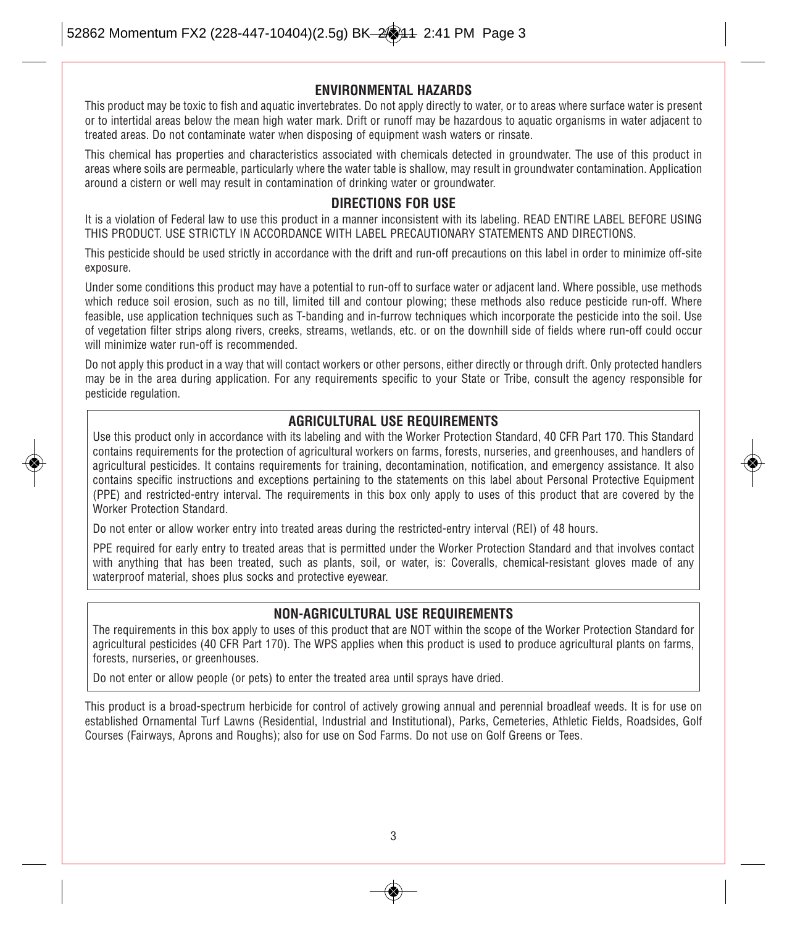#### **ENVIRONMENTAL HAZARDS**

This product may be toxic to fish and aquatic invertebrates. Do not apply directly to water, or to areas where surface water is present or to intertidal areas below the mean high water mark. Drift or runoff may be hazardous to aquatic organisms in water adjacent to treated areas. Do not contaminate water when disposing of equipment wash waters or rinsate.

This chemical has properties and characteristics associated with chemicals detected in groundwater. The use of this product in areas where soils are permeable, particularly where the water table is shallow, may result in groundwater contamination. Application around a cistern or well may result in contamination of drinking water or groundwater.

#### **DIRECTIONS FOR USE**

It is a violation of Federal law to use this product in a manner inconsistent with its labeling. READ ENTIRE LABEL BEFORE USING THIS PRODUCT. USE STRICTLY IN ACCORDANCE WITH LABEL PRECAUTIONARY STATEMENTS AND DIRECTIONS.

This pesticide should be used strictly in accordance with the drift and run-off precautions on this label in order to minimize off-site exposure.

Under some conditions this product may have a potential to run-off to surface water or adjacent land. Where possible, use methods which reduce soil erosion, such as no till, limited till and contour plowing; these methods also reduce pesticide run-off. Where feasible, use application techniques such as T-banding and in-furrow techniques which incorporate the pesticide into the soil. Use of vegetation filter strips along rivers, creeks, streams, wetlands, etc. or on the downhill side of fields where run-off could occur will minimize water run-off is recommended.

Do not apply this product in a way that will contact workers or other persons, either directly or through drift. Only protected handlers may be in the area during application. For any requirements specific to your State or Tribe, consult the agency responsible for pesticide regulation.

#### **AGRICULTURAL USE REQUIREMENTS**

Use this product only in accordance with its labeling and with the Worker Protection Standard, 40 CFR Part 170. This Standard contains requirements for the protection of agricultural workers on farms, forests, nurseries, and greenhouses, and handlers of agricultural pesticides. It contains requirements for training, decontamination, notification, and emergency assistance. It also contains specific instructions and exceptions pertaining to the statements on this label about Personal Protective Equipment (PPE) and restricted-entry interval. The requirements in this box only apply to uses of this product that are covered by the Worker Protection Standard.

Do not enter or allow worker entry into treated areas during the restricted-entry interval (REI) of 48 hours.

PPE required for early entry to treated areas that is permitted under the Worker Protection Standard and that involves contact with anything that has been treated, such as plants, soil, or water, is: Coveralls, chemical-resistant gloves made of any waterproof material, shoes plus socks and protective eyewear.

#### **NON-AGRICULTURAL USE REQUIREMENTS**

The requirements in this box apply to uses of this product that are NOT within the scope of the Worker Protection Standard for agricultural pesticides (40 CFR Part 170). The WPS applies when this product is used to produce agricultural plants on farms, forests, nurseries, or greenhouses.

Do not enter or allow people (or pets) to enter the treated area until sprays have dried.

This product is a broad-spectrum herbicide for control of actively growing annual and perennial broadleaf weeds. It is for use on established Ornamental Turf Lawns (Residential, Industrial and Institutional), Parks, Cemeteries, Athletic Fields, Roadsides, Golf Courses (Fairways, Aprons and Roughs); also for use on Sod Farms. Do not use on Golf Greens or Tees.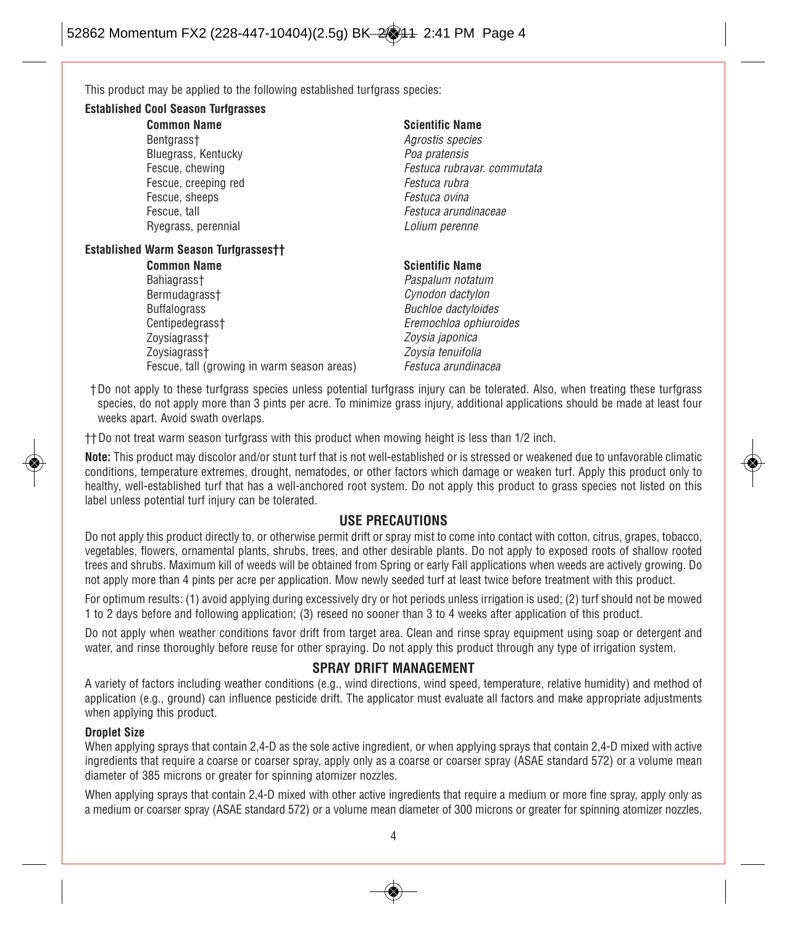This product may be applied to the following established turfgrass species:

#### **Established Cool Season Turfgrasses**

- **Common Name**
- Bentgrass+ Bluegrass, Kentucky Fescue, chewing Fescue, creeping red Fescue, sheeps Fescue, tall Ryegrass, perennial

#### **Scientific Name**

Agrostis species Poa pratensis Festuca rubravar. commutata Festuca rubra Festuca ovina Festuca arundinaceae Lolium perenne

#### **Established Warm Season Turfgrasses††**

**Common Name** Bahiagrass† Bermudagrass† Buffalograss Centipedegrass† Zoysiagrass† Zoysiagrass† Fescue, tall (growing in warm season areas)

#### **Scientific Name** Paspalum notatum

- Cynodon dactylon Buchloe dactyloides Eremochloa ophiuroides Zoysia japonica Zoysia tenuifolia Festuca arundinacea
- †Do not apply to these turfgrass species unless potential turfgrass injury can be tolerated. Also, when treating these turfgrass species, do not apply more than 3 pints per acre. To minimize grass injury, additional applications should be made at least four weeks apart. Avoid swath overlaps.

†† Do not treat warm season turfgrass with this product when mowing height is less than 1/2 inch.

**Note:** This product may discolor and/or stunt turf that is not well-established or is stressed or weakened due to unfavorable climatic conditions, temperature extremes, drought, nematodes, or other factors which damage or weaken turf. Apply this product only to healthy, well-established turf that has a well-anchored root system. Do not apply this product to grass species not listed on this label unless potential turf injury can be tolerated.

#### **USE PRECAUTIONS**

Do not apply this product directly to, or otherwise permit drift or spray mist to come into contact with cotton, citrus, grapes, tobacco, vegetables, flowers, ornamental plants, shrubs, trees, and other desirable plants. Do not apply to exposed roots of shallow rooted trees and shrubs. Maximum kill of weeds will be obtained from Spring or early Fall applications when weeds are actively growing. Do not apply more than 4 pints per acre per application. Mow newly seeded turf at least twice before treatment with this product.

For optimum results: (1) avoid applying during excessively dry or hot periods unless irrigation is used; (2) turf should not be mowed 1 to 2 days before and following application; (3) reseed no sooner than 3 to 4 weeks after application of this product.

Do not apply when weather conditions favor drift from target area. Clean and rinse spray equipment using soap or detergent and water, and rinse thoroughly before reuse for other spraying. Do not apply this product through any type of irrigation system.

#### **SPRAY DRIFT MANAGEMENT**

A variety of factors including weather conditions (e.g., wind directions, wind speed, temperature, relative humidity) and method of application (e.g., ground) can influence pesticide drift. The applicator must evaluate all factors and make appropriate adjustments when applying this product.

#### **Droplet Size**

When applying sprays that contain 2,4-D as the sole active ingredient, or when applying sprays that contain 2,4-D mixed with active ingredients that require a coarse or coarser spray, apply only as a coarse or coarser spray (ASAE standard 572) or a volume mean diameter of 385 microns or greater for spinning atomizer nozzles.

When applying sprays that contain 2,4-D mixed with other active ingredients that require a medium or more fine spray, apply only as a medium or coarser spray (ASAE standard 572) or a volume mean diameter of 300 microns or greater for spinning atomizer nozzles.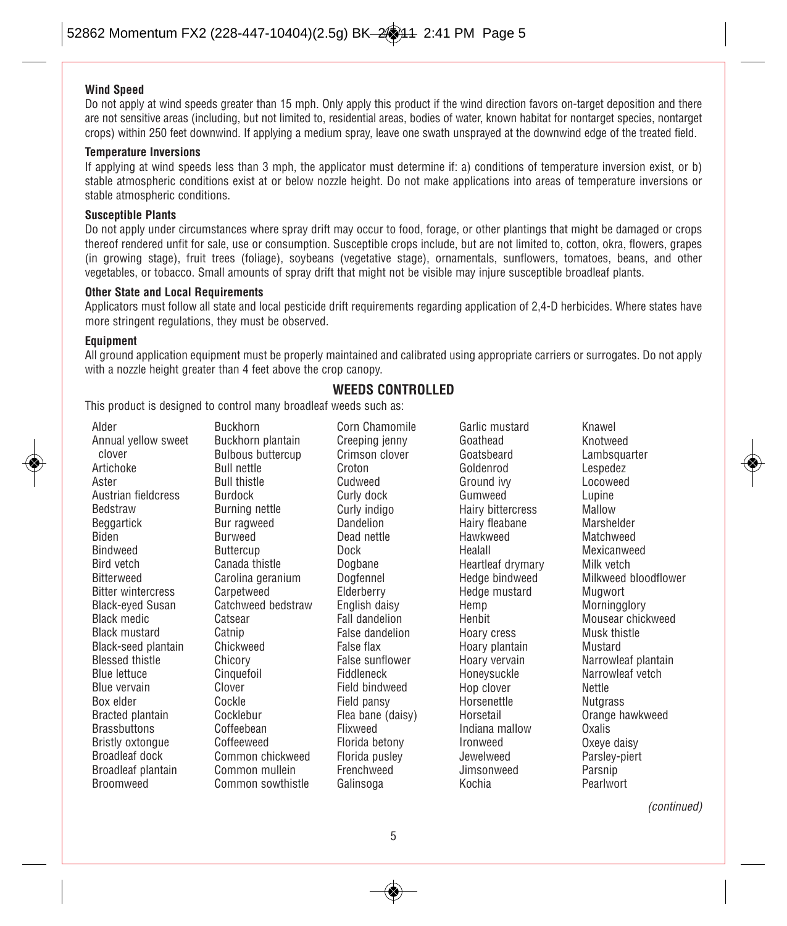#### **Wind Speed**

Do not apply at wind speeds greater than 15 mph. Only apply this product if the wind direction favors on-target deposition and there are not sensitive areas (including, but not limited to, residential areas, bodies of water, known habitat for nontarget species, nontarget crops) within 250 feet downwind. If applying a medium spray, leave one swath unsprayed at the downwind edge of the treated field.

#### **Temperature Inversions**

If applying at wind speeds less than 3 mph, the applicator must determine if: a) conditions of temperature inversion exist, or b) stable atmospheric conditions exist at or below nozzle height. Do not make applications into areas of temperature inversions or stable atmospheric conditions.

#### **Susceptible Plants**

Do not apply under circumstances where spray drift may occur to food, forage, or other plantings that might be damaged or crops thereof rendered unfit for sale, use or consumption. Susceptible crops include, but are not limited to, cotton, okra, flowers, grapes (in growing stage), fruit trees (foliage), soybeans (vegetative stage), ornamentals, sunflowers, tomatoes, beans, and other vegetables, or tobacco. Small amounts of spray drift that might not be visible may injure susceptible broadleaf plants.

#### **Other State and Local Requirements**

Applicators must follow all state and local pesticide drift requirements regarding application of 2,4-D herbicides. Where states have more stringent regulations, they must be observed.

#### **Equipment**

All ground application equipment must be properly maintained and calibrated using appropriate carriers or surrogates. Do not apply with a nozzle height greater than 4 feet above the crop canopy.

#### **WEEDS CONTROLLED**

This product is designed to control many broadleaf weeds such as:

Alder Annual yellow sweet clover Artichoke Aster Austrian fieldcress Bedstraw Beggartick Biden Bindweed Bird vetch Bitterweed Bitter wintercress Black-eyed Susan Black medic Black mustard Black-seed plantain Blessed thistle Blue lettuce Blue vervain Box elder Bracted plantain **Brassbuttons** Bristly oxtongue Broadleaf dock Broadleaf plantain Broomweed

Buckhorn Buckhorn plantain Bulbous buttercup Bull nettle Bull thistle Burdock Burning nettle Bur ragweed Burweed **Buttercup** Canada thistle Carolina geranium **Carpetweed** Catchweed bedstraw **Catsear** Catnip **Chickweed** Chicory **Cinquefoil** Clover Cockle Cocklebur Coffeebean Coffeeweed Common chickweed Common mullein Common sowthistle

Corn Chamomile Creeping jenny Crimson clover Croton Cudweed Curly dock Curly indigo Dandelion Dead nettle Dock Dogbane Dogfennel Elderberry English daisy Fall dandelion False dandelion False flax False sunflower Fiddleneck Field bindweed Field pansy Flea bane (daisy) Flixweed Florida betony Florida pusley **Frenchweed** Galinsoga

Garlic mustard Goathead Goatsbeard Goldenrod Ground ivy Gumweed Hairy bittercress Hairy fleabane Hawkweed Healall Heartleaf drymary Hedge bindweed Hedge mustard Hemp Henbit Hoary cress Hoary plantain Hoary vervain Honeysuckle Hop clover Horsenettle Horsetail Indiana mallow Ironweed Jewelweed Jimsonweed Kochia

Knotweed **Lambsquarter** Lespedez Locoweed Lupine Mallow Marshelder Matchweed Mexicanweed Milk vetch Milkweed bloodflower Mugwort **Morningglory** Mousear chickweed Musk thistle Mustard Narrowleaf plantain Narrowleaf vetch **Nettle Nutgrass** Orange hawkweed Oxalis Oxeye daisy Parsley-piert Parsnip Pearlwort

Knawel

(continued)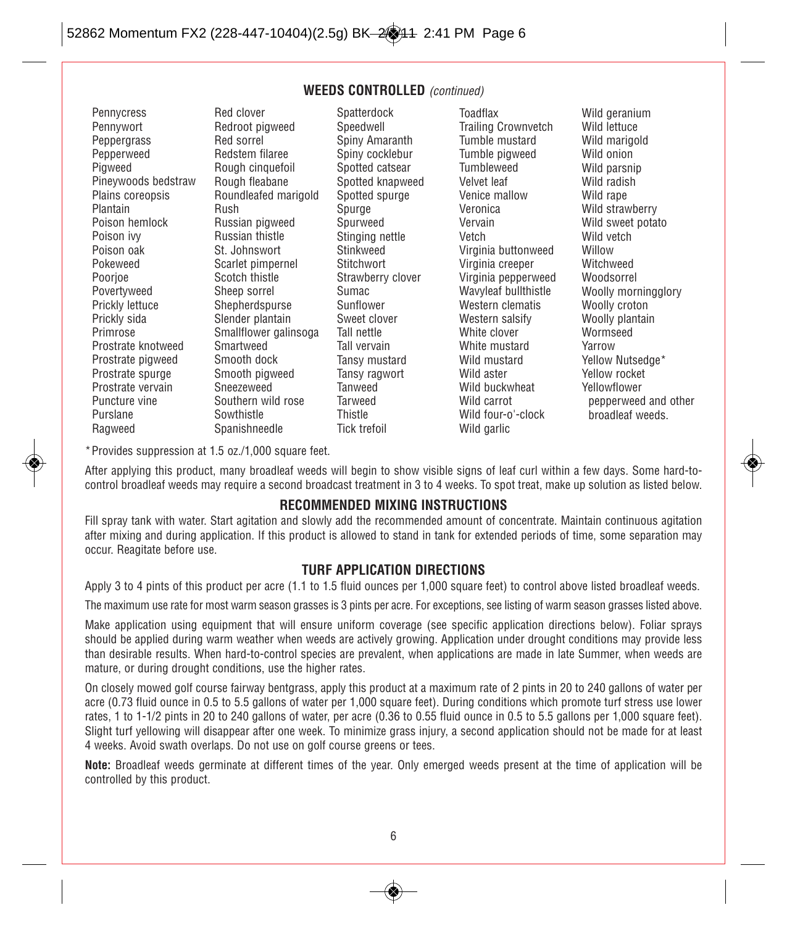#### **WEEDS CONTROLLED** (continued)

Pennycress Pennywort Peppergrass Pepperweed Piaweed Pineywoods bedstraw Plains coreopsis Plantain Poison hemlock Poison ivy Poison oak Pokeweed Poorjoe Povertyweed Prickly lettuce Prickly sida Primrose Prostrate knotweed Prostrate pigweed Prostrate spurge Prostrate vervain Puncture vine Purslane Ragweed

Red clover Redroot pigweed Red sorrel Redstem filaree Rough cinquefoil Rough fleabane Roundleafed marigold Rush Russian pigweed Russian thistle St. Johnswort Scarlet pimpernel Scotch thistle Sheep sorrel Shepherdspurse Slender plantain Smallflower galinsoga Smartweed Smooth dock Smooth pigweed Sneezeweed Southern wild rose **Sowthistle** Spanishneedle

Spatterdock Speedwell Spiny Amaranth Spiny cocklebur Spotted catsear Spotted knapweed Spotted spurge Spurge Spurweed Stinging nettle Stinkweed **Stitchwort** Strawberry clover Sumac Sunflower Sweet clover Tall nettle Tall vervain Tansy mustard Tansy ragwort Tanweed Tarweed **Thistle** Tick trefoil

Toadflax Trailing Crownvetch Tumble mustard Tumble pigweed Tumbleweed Velvet leaf Venice mallow Veronica Vervain Vetch Virginia buttonweed Virginia creeper Virginia pepperweed Wavyleaf bullthistle Western clematis Western salsify White clover White mustard Wild mustard Wild aster Wild buckwheat Wild carrot Wild four-o'-clock Wild garlic

Wild geranium Wild lettuce Wild marigold Wild onion Wild parsnip Wild radish Wild rape Wild strawberry Wild sweet potato Wild vetch **Willow** Witchweed Woodsorrel Woolly morningglory Woolly croton Woolly plantain Wormseed Yarrow Yellow Nutsedge\* Yellow rocket Yellowflower pepperweed and other broadleaf weeds.

\*Provides suppression at 1.5 oz./1,000 square feet.

After applying this product, many broadleaf weeds will begin to show visible signs of leaf curl within a few days. Some hard-tocontrol broadleaf weeds may require a second broadcast treatment in 3 to 4 weeks. To spot treat, make up solution as listed below.

#### **RECOMMENDED MIXING INSTRUCTIONS**

Fill spray tank with water. Start agitation and slowly add the recommended amount of concentrate. Maintain continuous agitation after mixing and during application. If this product is allowed to stand in tank for extended periods of time, some separation may occur. Reagitate before use.

#### **TURF APPLICATION DIRECTIONS**

Apply 3 to 4 pints of this product per acre (1.1 to 1.5 fluid ounces per 1,000 square feet) to control above listed broadleaf weeds.

The maximum use rate for most warm season grasses is 3 pints per acre. For exceptions, see listing of warm season grasses listed above.

Make application using equipment that will ensure uniform coverage (see specific application directions below). Foliar sprays should be applied during warm weather when weeds are actively growing. Application under drought conditions may provide less than desirable results. When hard-to-control species are prevalent, when applications are made in late Summer, when weeds are mature, or during drought conditions, use the higher rates.

On closely mowed golf course fairway bentgrass, apply this product at a maximum rate of 2 pints in 20 to 240 gallons of water per acre (0.73 fluid ounce in 0.5 to 5.5 gallons of water per 1,000 square feet). During conditions which promote turf stress use lower rates, 1 to 1-1/2 pints in 20 to 240 gallons of water, per acre (0.36 to 0.55 fluid ounce in 0.5 to 5.5 gallons per 1,000 square feet). Slight turf yellowing will disappear after one week. To minimize grass injury, a second application should not be made for at least 4 weeks. Avoid swath overlaps. Do not use on golf course greens or tees.

**Note:** Broadleaf weeds germinate at different times of the year. Only emerged weeds present at the time of application will be controlled by this product.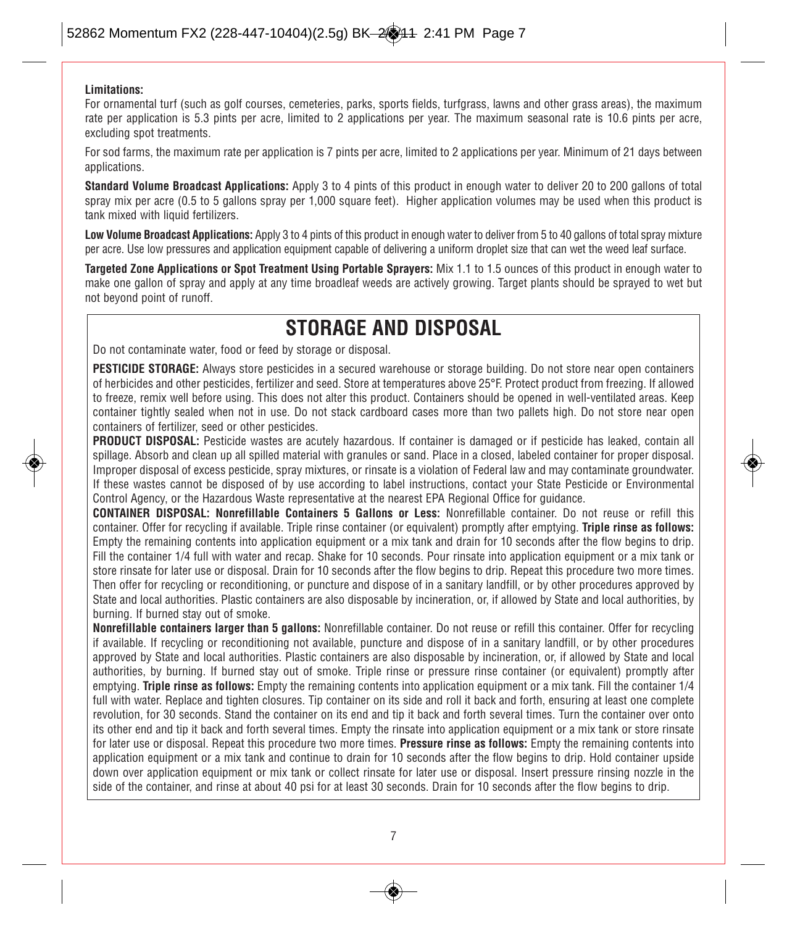#### **Limitations:**

For ornamental turf (such as golf courses, cemeteries, parks, sports fields, turfgrass, lawns and other grass areas), the maximum rate per application is 5.3 pints per acre, limited to 2 applications per year. The maximum seasonal rate is 10.6 pints per acre, excluding spot treatments.

For sod farms, the maximum rate per application is 7 pints per acre, limited to 2 applications per year. Minimum of 21 days between applications.

**Standard Volume Broadcast Applications:** Apply 3 to 4 pints of this product in enough water to deliver 20 to 200 gallons of total spray mix per acre (0.5 to 5 gallons spray per 1,000 square feet). Higher application volumes may be used when this product is tank mixed with liquid fertilizers.

**Low Volume Broadcast Applications:** Apply 3 to 4 pints of this product in enough water to deliver from 5 to 40 gallons of total spray mixture per acre. Use low pressures and application equipment capable of delivering a uniform droplet size that can wet the weed leaf surface.

**Targeted Zone Applications or Spot Treatment Using Portable Sprayers:** Mix 1.1 to 1.5 ounces of this product in enough water to make one gallon of spray and apply at any time broadleaf weeds are actively growing. Target plants should be sprayed to wet but not beyond point of runoff.

### **STORAGE AND DISPOSAL**

Do not contaminate water, food or feed by storage or disposal.

**PESTICIDE STORAGE:** Always store pesticides in a secured warehouse or storage building. Do not store near open containers of herbicides and other pesticides, fertilizer and seed. Store at temperatures above 25°F. Protect product from freezing. If allowed to freeze, remix well before using. This does not alter this product. Containers should be opened in well-ventilated areas. Keep container tightly sealed when not in use. Do not stack cardboard cases more than two pallets high. Do not store near open containers of fertilizer, seed or other pesticides.

**PRODUCT DISPOSAL:** Pesticide wastes are acutely hazardous. If container is damaged or if pesticide has leaked, contain all spillage. Absorb and clean up all spilled material with granules or sand. Place in a closed, labeled container for proper disposal. Improper disposal of excess pesticide, spray mixtures, or rinsate is a violation of Federal law and may contaminate groundwater. If these wastes cannot be disposed of by use according to label instructions, contact your State Pesticide or Environmental Control Agency, or the Hazardous Waste representative at the nearest EPA Regional Office for guidance.

**CONTAINER DISPOSAL: Nonrefillable Containers 5 Gallons or Less:** Nonrefillable container. Do not reuse or refill this container. Offer for recycling if available. Triple rinse container (or equivalent) promptly after emptying. **Triple rinse as follows:** Empty the remaining contents into application equipment or a mix tank and drain for 10 seconds after the flow begins to drip. Fill the container 1/4 full with water and recap. Shake for 10 seconds. Pour rinsate into application equipment or a mix tank or store rinsate for later use or disposal. Drain for 10 seconds after the flow begins to drip. Repeat this procedure two more times. Then offer for recycling or reconditioning, or puncture and dispose of in a sanitary landfill, or by other procedures approved by State and local authorities. Plastic containers are also disposable by incineration, or, if allowed by State and local authorities, by burning. If burned stay out of smoke.

**Nonrefillable containers larger than 5 gallons:** Nonrefillable container. Do not reuse or refill this container. Offer for recycling if available. If recycling or reconditioning not available, puncture and dispose of in a sanitary landfill, or by other procedures approved by State and local authorities. Plastic containers are also disposable by incineration, or, if allowed by State and local authorities, by burning. If burned stay out of smoke. Triple rinse or pressure rinse container (or equivalent) promptly after emptying. **Triple rinse as follows:** Empty the remaining contents into application equipment or a mix tank. Fill the container 1/4 full with water. Replace and tighten closures. Tip container on its side and roll it back and forth, ensuring at least one complete revolution, for 30 seconds. Stand the container on its end and tip it back and forth several times. Turn the container over onto its other end and tip it back and forth several times. Empty the rinsate into application equipment or a mix tank or store rinsate for later use or disposal. Repeat this procedure two more times. **Pressure rinse as follows:** Empty the remaining contents into application equipment or a mix tank and continue to drain for 10 seconds after the flow begins to drip. Hold container upside down over application equipment or mix tank or collect rinsate for later use or disposal. Insert pressure rinsing nozzle in the side of the container, and rinse at about 40 psi for at least 30 seconds. Drain for 10 seconds after the flow begins to drip.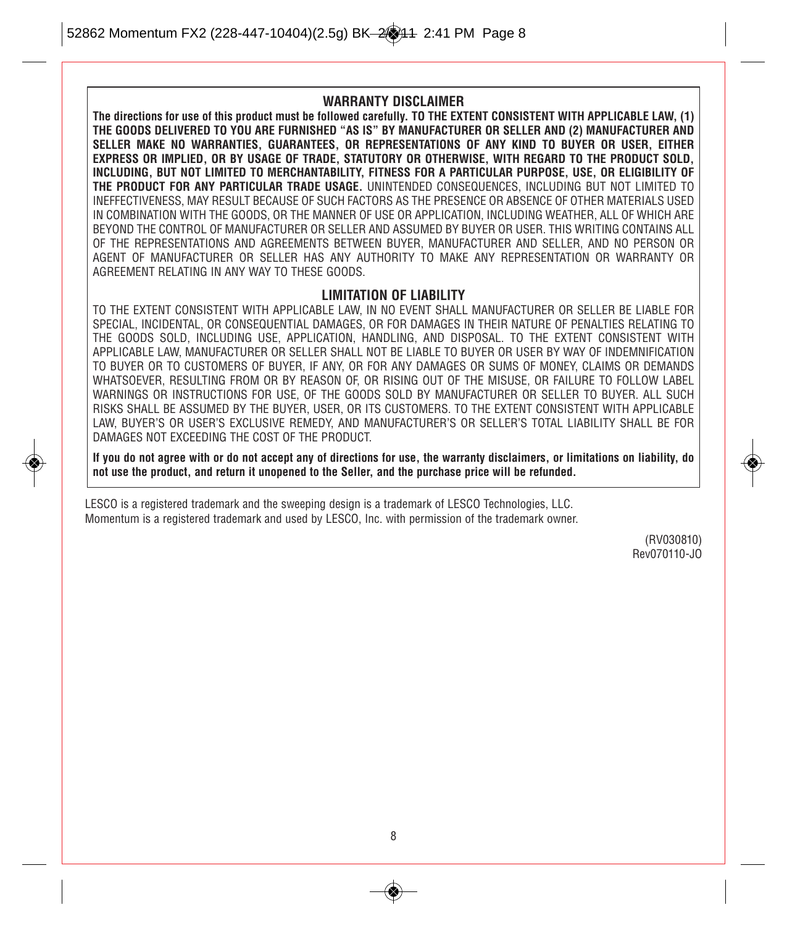#### **WARRANTY DISCLAIMER**

**The directions for use of this product must be followed carefully. TO THE EXTENT CONSISTENT WITH APPLICABLE LAW, (1) THE GOODS DELIVERED TO YOU ARE FURNISHED "AS IS" BY MANUFACTURER OR SELLER AND (2) MANUFACTURER AND SELLER MAKE NO WARRANTIES, GUARANTEES, OR REPRESENTATIONS OF ANY KIND TO BUYER OR USER, EITHER EXPRESS OR IMPLIED, OR BY USAGE OF TRADE, STATUTORY OR OTHERWISE, WITH REGARD TO THE PRODUCT SOLD, INCLUDING, BUT NOT LIMITED TO MERCHANTABILITY, FITNESS FOR A PARTICULAR PURPOSE, USE, OR ELIGIBILITY OF THE PRODUCT FOR ANY PARTICULAR TRADE USAGE.** UNINTENDED CONSEQUENCES, INCLUDING BUT NOT LIMITED TO INEFFECTIVENESS, MAY RESULT BECAUSE OF SUCH FACTORS AS THE PRESENCE OR ABSENCE OF OTHER MATERIALS USED IN COMBINATION WITH THE GOODS, OR THE MANNER OF USE OR APPLICATION, INCLUDING WEATHER, ALL OF WHICH ARE BEYOND THE CONTROL OF MANUFACTURER OR SELLER AND ASSUMED BY BUYER OR USER. THIS WRITING CONTAINS ALL OF THE REPRESENTATIONS AND AGREEMENTS BETWEEN BUYER, MANUFACTURER AND SELLER, AND NO PERSON OR AGENT OF MANUFACTURER OR SELLER HAS ANY AUTHORITY TO MAKE ANY REPRESENTATION OR WARRANTY OR AGREEMENT RELATING IN ANY WAY TO THESE GOODS.

#### **LIMITATION OF LIABILITY**

TO THE EXTENT CONSISTENT WITH APPLICABLE LAW, IN NO EVENT SHALL MANUFACTURER OR SELLER BE LIABLE FOR SPECIAL, INCIDENTAL, OR CONSEQUENTIAL DAMAGES, OR FOR DAMAGES IN THEIR NATURE OF PENALTIES RELATING TO THE GOODS SOLD, INCLUDING USE, APPLICATION, HANDLING, AND DISPOSAL. TO THE EXTENT CONSISTENT WITH APPLICABLE LAW, MANUFACTURER OR SELLER SHALL NOT BE LIABLE TO BUYER OR USER BY WAY OF INDEMNIFICATION TO BUYER OR TO CUSTOMERS OF BUYER, IF ANY, OR FOR ANY DAMAGES OR SUMS OF MONEY, CLAIMS OR DEMANDS WHATSOEVER, RESULTING FROM OR BY REASON OF, OR RISING OUT OF THE MISUSE, OR FAILURE TO FOLLOW LABEL WARNINGS OR INSTRUCTIONS FOR USE, OF THE GOODS SOLD BY MANUFACTURER OR SELLER TO BUYER. ALL SUCH RISKS SHALL BE ASSUMED BY THE BUYER, USER, OR ITS CUSTOMERS. TO THE EXTENT CONSISTENT WITH APPLICABLE LAW, BUYER'S OR USER'S EXCLUSIVE REMEDY, AND MANUFACTURER'S OR SELLER'S TOTAL LIABILITY SHALL BE FOR DAMAGES NOT EXCEEDING THE COST OF THE PRODUCT.

**If you do not agree with or do not accept any of directions for use, the warranty disclaimers, or limitations on liability, do not use the product, and return it unopened to the Seller, and the purchase price will be refunded.**

LESCO is a registered trademark and the sweeping design is a trademark of LESCO Technologies, LLC. Momentum is a registered trademark and used by LESCO, Inc. with permission of the trademark owner.

> (RV030810) Rev070110-JO